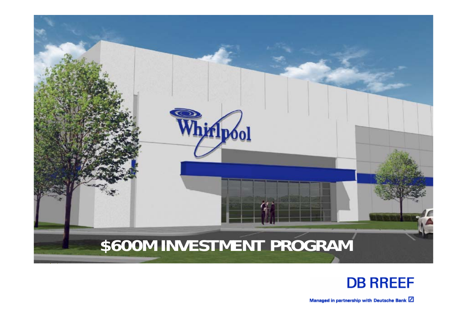

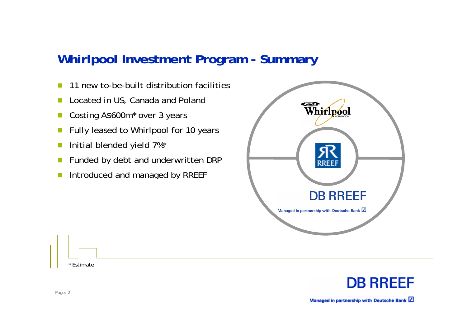### **Whirlpool Investment Program - Summary**

- **In** 11 new to-be-built distribution facilities
- $\mathcal{C}^{\mathcal{A}}$ Located in US, Canada and Poland
- $\mathcal{C}^{\mathcal{A}}$ Costing A\$600m\* over 3 years
- m, Fully leased to Whirlpool for 10 years
- m, Initial blended yield 7%\*
- $\mathcal{C}^{\mathcal{A}}$ Funded by debt and underwritten DRP
- m, Introduced and managed by RREEF



**DB RREEF** 

Page: 2

\* Estimate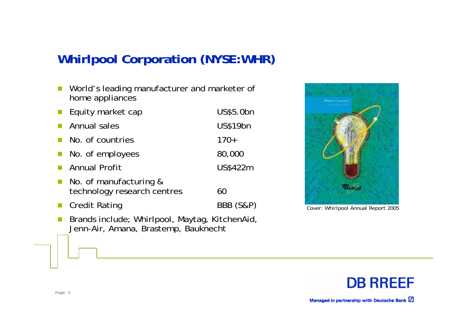## **Whirlpool Corporation (NYSE:WHR)**

- $\mathcal{L}_{\mathcal{A}}$  World's leading manufacturer and marketer of home appliances
- m. Equity market cap US\$5.0bn
- m, Annual sales US\$19bn
- **In** No. of countries 170+
- $\mathbb{R}^3$ No. of employees 80,000
- **In** Annual Profit US\$422m
- $\mathcal{C}^{\mathcal{A}}$  No. of manufacturing & technology research centres 60
- $\mathcal{L}_{\mathcal{A}}$
- Credit Rating BBB (S&P)
- $\mathcal{L}_{\mathcal{A}}$  Brands include; Whirlpool, Maytag, KitchenAid, Jenn-Air, Amana, Brastemp, Bauknecht



Cover: Whirlpool Annual Report 2005

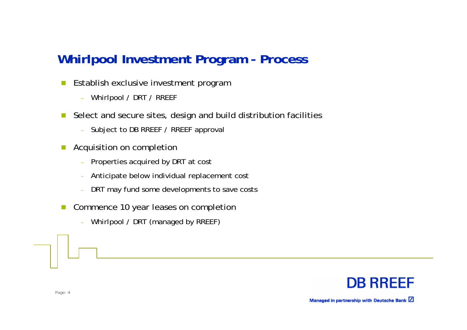## **Whirlpool Investment Program - Process**

- $\mathbb{R}^n$  Establish exclusive investment program
	- Whirlpool / DRT / RREEF
- $\mathbb{R}^n$  Select and secure sites, design and build distribution facilities
	- Subject to DB RREEF / RREEF approval
- Acquisition on completion
	- Properties acquired by DRT at cost
	- Anticipate below individual replacement cost
	- DRT may fund some developments to save costs
- $\mathbb{R}^n$  Commence 10 year leases on completion
	- Whirlpool / DRT (managed by RREEF)

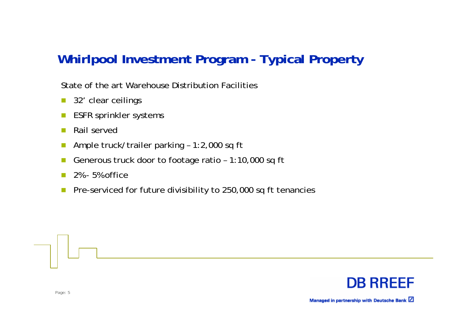## **Whirlpool Investment Program - Typical Property**

State of the art Warehouse Distribution Facilities

- $\mathcal{C}^{\mathcal{A}}$ 32' clear ceilings
- ESFR sprinkler systems
- $\sim$ Rail served
- **Tall** Ample truck/trailer parking – 1:2,000 sq ft
- Generous truck door to footage ratio 1:10,000 sq ft
- $\sim$ 2% - 5% office
- $\sim$ Pre-serviced for future divisibility to 250,000 sq ft tenancies

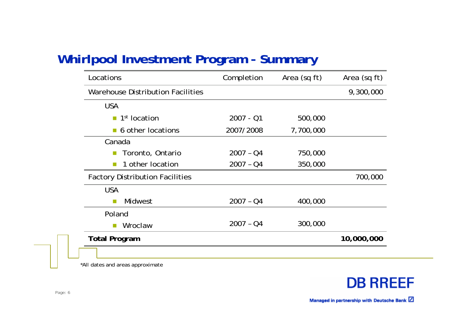## **Whirlpool Investment Program - Summary**

| Locations                                               | Completion  | Area (sq ft) | Area (sq ft) |
|---------------------------------------------------------|-------------|--------------|--------------|
| Warehouse Distribution Facilities                       |             |              | 9,300,000    |
| <b>USA</b>                                              |             |              |              |
| 1 <sup>st</sup> location<br>$\mathcal{L}_{\mathcal{A}}$ | $2007 - 01$ | 500,000      |              |
| • 6 other locations                                     | 2007/2008   | 7,700,000    |              |
| Canada                                                  |             |              |              |
| Toronto, Ontario<br>$\Box$                              | $2007 - 04$ | 750,000      |              |
| 1 other location                                        | $2007 - Q4$ | 350,000      |              |
| <b>Factory Distribution Facilities</b>                  |             |              | 700,000      |
| <b>USA</b>                                              |             |              |              |
| Midwest<br>$\Box$                                       | $2007 - Q4$ | 400,000      |              |
| Poland                                                  |             |              |              |
| Wroclaw<br>$\sim$                                       | $2007 - Q4$ | 300,000      |              |
| <b>Total Program</b>                                    |             |              | 10,000,000   |
|                                                         |             |              |              |

\*All dates and areas approximate

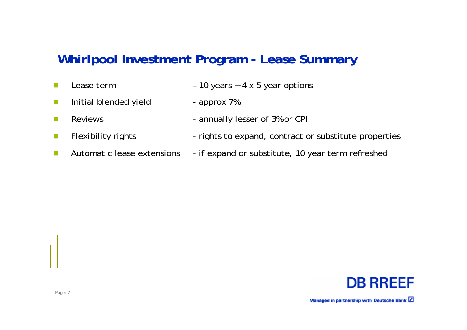## **Whirlpool Investment Program - Lease Summary**

- **I**
- Lease term 10 years + 4 x 5 year options
- **I** Initial blended yield - approx 7%
- $\sim$
- **The State**
- $\mathcal{C}^{\mathcal{A}}$
- 
- Reviews **Reviews** annually lesser of 3% or CPI
- Flexibility rights rights to expand, contract or substitute properties
- Automatic lease extensions if expand or substitute, 10 year term refreshed

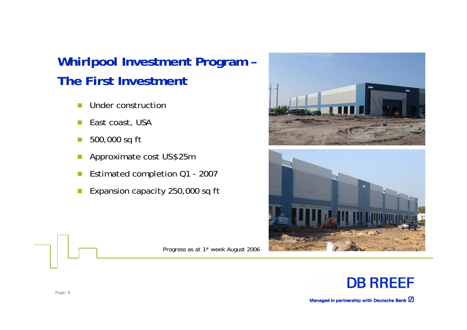# **Whirlpool Investment Program – The First Investment**

- n. Under construction
- **I** East coast, USA
- **I** 500,000 sq ft
- p. Approximate cost US\$25m
- p. Estimated completion Q1 - 2007
- **I** Expansion capacity 250,000 sq ft

Progress as at 1st week August 2006





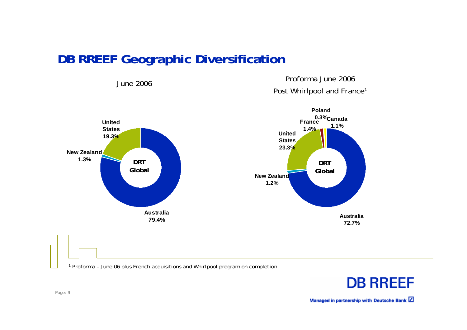## **DB RREEF Geographic Diversification**

June 2006

 Proforma June 2006 Post Whirlpool and France<sup>1</sup>



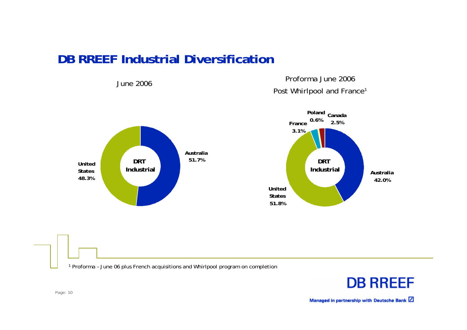## **DB RREEF Industrial Diversification**

June 2006

 Proforma June 2006 Post Whirlpool and France<sup>1</sup>





1 Proforma – June 06 plus French acquisitions and Whirlpool program on completion

**DB RREEF**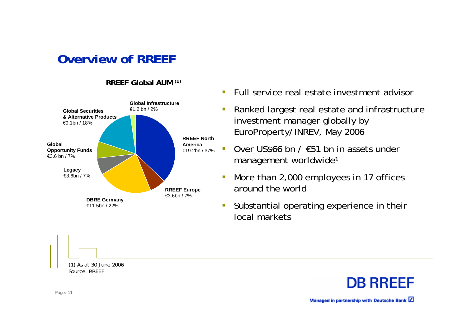**Overview of RREEF**

#### **RREEF Global AUM (1)**



- $\mathbf{r}$ Full service real estate investment advisor
- $\overline{\phantom{a}}$  Ranked largest real estate and infrastructure investment manager globally by EuroProperty/INREV, May 2006
- $\mathcal{L}_{\mathcal{A}}$  Over US\$66 bn / €51 bn in assets under management worldwide<sup>1</sup>
- $\overline{\phantom{a}}$  More than 2,000 employees in 17 offices around the world
- $\overline{\mathbb{R}}$  Substantial operating experience in their local markets

**DB RREEF** 

Managed in partnership with Deutsche Bank [4]

Page: 11

(1) As at 30 June 2006

Source: RREEF